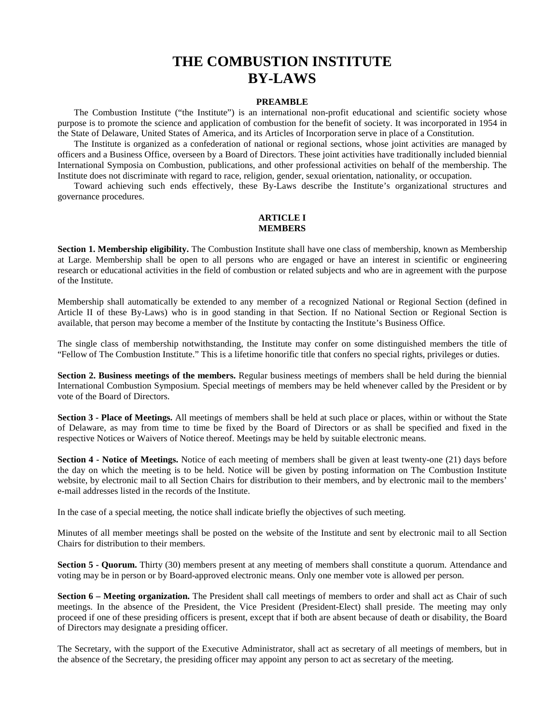# **THE COMBUSTION INSTITUTE BY-LAWS**

#### **PREAMBLE**

The Combustion Institute ("the Institute") is an international non-profit educational and scientific society whose purpose is to promote the science and application of combustion for the benefit of society. It was incorporated in 1954 in the State of Delaware, United States of America, and its Articles of Incorporation serve in place of a Constitution.

The Institute is organized as a confederation of national or regional sections, whose joint activities are managed by officers and a Business Office, overseen by a Board of Directors. These joint activities have traditionally included biennial International Symposia on Combustion, publications, and other professional activities on behalf of the membership. The Institute does not discriminate with regard to race, religion, gender, sexual orientation, nationality, or occupation.

Toward achieving such ends effectively, these By-Laws describe the Institute's organizational structures and governance procedures.

### **ARTICLE I MEMBERS**

**Section 1. Membership eligibility.** The Combustion Institute shall have one class of membership, known as Membership at Large. Membership shall be open to all persons who are engaged or have an interest in scientific or engineering research or educational activities in the field of combustion or related subjects and who are in agreement with the purpose of the Institute.

Membership shall automatically be extended to any member of a recognized National or Regional Section (defined in Article II of these By-Laws) who is in good standing in that Section. If no National Section or Regional Section is available, that person may become a member of the Institute by contacting the Institute's Business Office.

The single class of membership notwithstanding, the Institute may confer on some distinguished members the title of "Fellow of The Combustion Institute." This is a lifetime honorific title that confers no special rights, privileges or duties.

**Section 2. Business meetings of the members.** Regular business meetings of members shall be held during the biennial International Combustion Symposium. Special meetings of members may be held whenever called by the President or by vote of the Board of Directors.

**Section 3 - Place of Meetings.** All meetings of members shall be held at such place or places, within or without the State of Delaware, as may from time to time be fixed by the Board of Directors or as shall be specified and fixed in the respective Notices or Waivers of Notice thereof. Meetings may be held by suitable electronic means.

**Section 4 - Notice of Meetings.** Notice of each meeting of members shall be given at least twenty-one (21) days before the day on which the meeting is to be held. Notice will be given by posting information on The Combustion Institute website, by electronic mail to all Section Chairs for distribution to their members, and by electronic mail to the members' e-mail addresses listed in the records of the Institute.

In the case of a special meeting, the notice shall indicate briefly the objectives of such meeting.

Minutes of all member meetings shall be posted on the website of the Institute and sent by electronic mail to all Section Chairs for distribution to their members.

**Section 5 - Quorum.** Thirty (30) members present at any meeting of members shall constitute a quorum. Attendance and voting may be in person or by Board-approved electronic means. Only one member vote is allowed per person.

**Section 6 – Meeting organization.** The President shall call meetings of members to order and shall act as Chair of such meetings. In the absence of the President, the Vice President (President-Elect) shall preside. The meeting may only proceed if one of these presiding officers is present, except that if both are absent because of death or disability, the Board of Directors may designate a presiding officer.

The Secretary, with the support of the Executive Administrator, shall act as secretary of all meetings of members, but in the absence of the Secretary, the presiding officer may appoint any person to act as secretary of the meeting.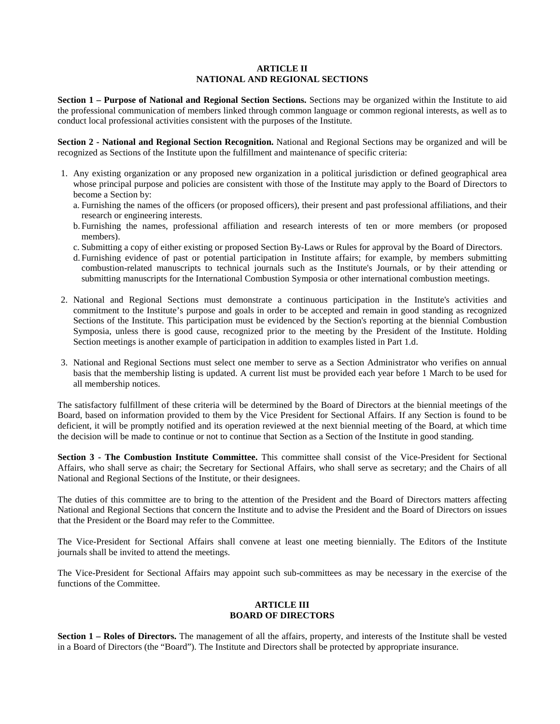#### **ARTICLE II NATIONAL AND REGIONAL SECTIONS**

**Section 1 – Purpose of National and Regional Section Sections.** Sections may be organized within the Institute to aid the professional communication of members linked through common language or common regional interests, as well as to conduct local professional activities consistent with the purposes of the Institute.

**Section 2 - National and Regional Section Recognition.** National and Regional Sections may be organized and will be recognized as Sections of the Institute upon the fulfillment and maintenance of specific criteria:

- 1. Any existing organization or any proposed new organization in a political jurisdiction or defined geographical area whose principal purpose and policies are consistent with those of the Institute may apply to the Board of Directors to become a Section by:
	- a. Furnishing the names of the officers (or proposed officers), their present and past professional affiliations, and their research or engineering interests.
	- b. Furnishing the names, professional affiliation and research interests of ten or more members (or proposed members).
	- c. Submitting a copy of either existing or proposed Section By-Laws or Rules for approval by the Board of Directors.
	- d. Furnishing evidence of past or potential participation in Institute affairs; for example, by members submitting combustion-related manuscripts to technical journals such as the Institute's Journals, or by their attending or submitting manuscripts for the International Combustion Symposia or other international combustion meetings.
- 2. National and Regional Sections must demonstrate a continuous participation in the Institute's activities and commitment to the Institute's purpose and goals in order to be accepted and remain in good standing as recognized Sections of the Institute. This participation must be evidenced by the Section's reporting at the biennial Combustion Symposia, unless there is good cause, recognized prior to the meeting by the President of the Institute. Holding Section meetings is another example of participation in addition to examples listed in Part 1.d.
- 3. National and Regional Sections must select one member to serve as a Section Administrator who verifies on annual basis that the membership listing is updated. A current list must be provided each year before 1 March to be used for all membership notices.

The satisfactory fulfillment of these criteria will be determined by the Board of Directors at the biennial meetings of the Board, based on information provided to them by the Vice President for Sectional Affairs. If any Section is found to be deficient, it will be promptly notified and its operation reviewed at the next biennial meeting of the Board, at which time the decision will be made to continue or not to continue that Section as a Section of the Institute in good standing.

**Section 3 - The Combustion Institute Committee.** This committee shall consist of the Vice-President for Sectional Affairs, who shall serve as chair; the Secretary for Sectional Affairs, who shall serve as secretary; and the Chairs of all National and Regional Sections of the Institute, or their designees.

The duties of this committee are to bring to the attention of the President and the Board of Directors matters affecting National and Regional Sections that concern the Institute and to advise the President and the Board of Directors on issues that the President or the Board may refer to the Committee.

The Vice-President for Sectional Affairs shall convene at least one meeting biennially. The Editors of the Institute journals shall be invited to attend the meetings.

The Vice-President for Sectional Affairs may appoint such sub-committees as may be necessary in the exercise of the functions of the Committee.

## **ARTICLE III BOARD OF DIRECTORS**

**Section 1 – Roles of Directors.** The management of all the affairs, property, and interests of the Institute shall be vested in a Board of Directors (the "Board"). The Institute and Directors shall be protected by appropriate insurance.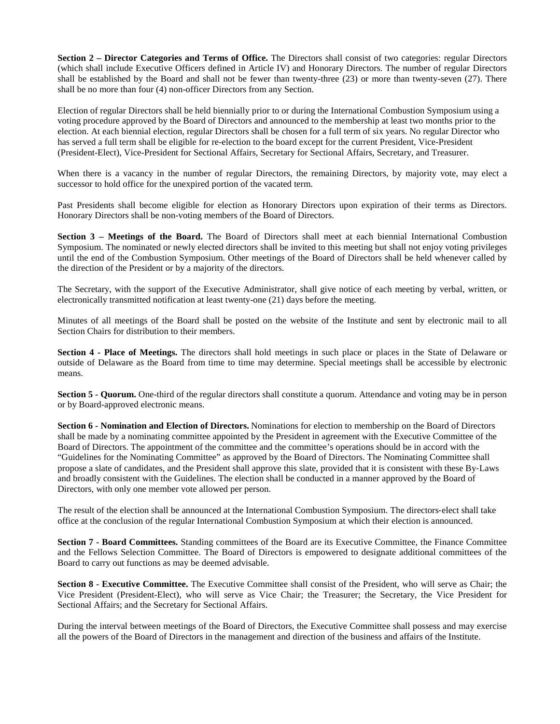**Section 2 – Director Categories and Terms of Office.** The Directors shall consist of two categories: regular Directors (which shall include Executive Officers defined in Article IV) and Honorary Directors. The number of regular Directors shall be established by the Board and shall not be fewer than twenty-three (23) or more than twenty-seven (27). There shall be no more than four (4) non-officer Directors from any Section.

Election of regular Directors shall be held biennially prior to or during the International Combustion Symposium using a voting procedure approved by the Board of Directors and announced to the membership at least two months prior to the election. At each biennial election, regular Directors shall be chosen for a full term of six years. No regular Director who has served a full term shall be eligible for re-election to the board except for the current President, Vice-President (President-Elect), Vice-President for Sectional Affairs, Secretary for Sectional Affairs, Secretary, and Treasurer.

When there is a vacancy in the number of regular Directors, the remaining Directors, by majority vote, may elect a successor to hold office for the unexpired portion of the vacated term.

Past Presidents shall become eligible for election as Honorary Directors upon expiration of their terms as Directors. Honorary Directors shall be non-voting members of the Board of Directors.

**Section 3 – Meetings of the Board.** The Board of Directors shall meet at each biennial International Combustion Symposium. The nominated or newly elected directors shall be invited to this meeting but shall not enjoy voting privileges until the end of the Combustion Symposium. Other meetings of the Board of Directors shall be held whenever called by the direction of the President or by a majority of the directors.

The Secretary, with the support of the Executive Administrator, shall give notice of each meeting by verbal, written, or electronically transmitted notification at least twenty-one (21) days before the meeting.

Minutes of all meetings of the Board shall be posted on the website of the Institute and sent by electronic mail to all Section Chairs for distribution to their members.

**Section 4 - Place of Meetings.** The directors shall hold meetings in such place or places in the State of Delaware or outside of Delaware as the Board from time to time may determine. Special meetings shall be accessible by electronic means.

**Section 5 - Quorum.** One-third of the regular directors shall constitute a quorum. Attendance and voting may be in person or by Board-approved electronic means.

**Section 6 - Nomination and Election of Directors.** Nominations for election to membership on the Board of Directors shall be made by a nominating committee appointed by the President in agreement with the Executive Committee of the Board of Directors. The appointment of the committee and the committee's operations should be in accord with the "Guidelines for the Nominating Committee" as approved by the Board of Directors. The Nominating Committee shall propose a slate of candidates, and the President shall approve this slate, provided that it is consistent with these By‐Laws and broadly consistent with the Guidelines. The election shall be conducted in a manner approved by the Board of Directors, with only one member vote allowed per person.

The result of the election shall be announced at the International Combustion Symposium. The directors‐elect shall take office at the conclusion of the regular International Combustion Symposium at which their election is announced.

**Section 7 - Board Committees.** Standing committees of the Board are its Executive Committee, the Finance Committee and the Fellows Selection Committee. The Board of Directors is empowered to designate additional committees of the Board to carry out functions as may be deemed advisable.

**Section 8 - Executive Committee.** The Executive Committee shall consist of the President, who will serve as Chair; the Vice President (President-Elect), who will serve as Vice Chair; the Treasurer; the Secretary, the Vice President for Sectional Affairs; and the Secretary for Sectional Affairs.

During the interval between meetings of the Board of Directors, the Executive Committee shall possess and may exercise all the powers of the Board of Directors in the management and direction of the business and affairs of the Institute.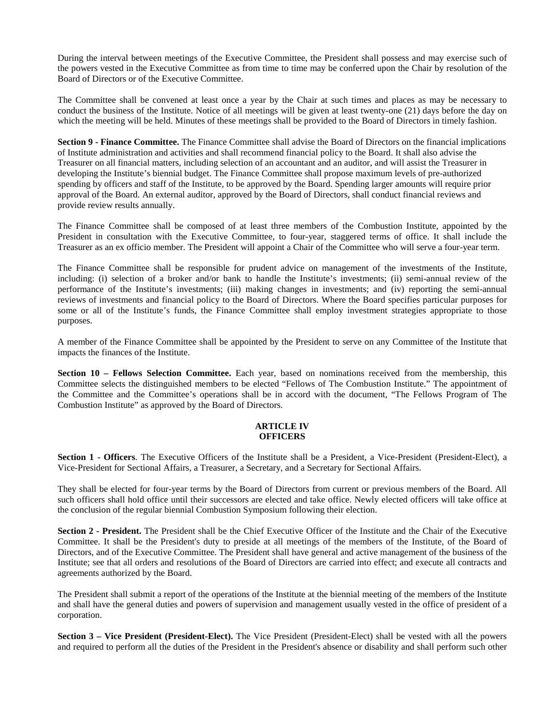During the interval between meetings of the Executive Committee, the President shall possess and may exercise such of the powers vested in the Executive Committee as from time to time may be conferred upon the Chair by resolution of the Board of Directors or of the Executive Committee.

The Committee shall be convened at least once a year by the Chair at such times and places as may be necessary to conduct the business of the Institute. Notice of all meetings will be given at least twenty-one (21) days before the day on which the meeting will be held. Minutes of these meetings shall be provided to the Board of Directors in timely fashion.

**Section 9 - Finance Committee.** The Finance Committee shall advise the Board of Directors on the financial implications of Institute administration and activities and shall recommend financial policy to the Board. It shall also advise the Treasurer on all financial matters, including selection of an accountant and an auditor, and will assist the Treasurer in developing the Institute's biennial budget. The Finance Committee shall propose maximum levels of pre-authorized spending by officers and staff of the Institute, to be approved by the Board. Spending larger amounts will require prior approval of the Board. An external auditor, approved by the Board of Directors, shall conduct financial reviews and provide review results annually.

The Finance Committee shall be composed of at least three members of the Combustion Institute, appointed by the President in consultation with the Executive Committee, to four-year, staggered terms of office. It shall include the Treasurer as an ex officio member. The President will appoint a Chair of the Committee who will serve a four-year term.

The Finance Committee shall be responsible for prudent advice on management of the investments of the Institute, including: (i) selection of a broker and/or bank to handle the Institute's investments; (ii) semi-annual review of the performance of the Institute's investments; (iii) making changes in investments; and (iv) reporting the semi-annual reviews of investments and financial policy to the Board of Directors. Where the Board specifies particular purposes for some or all of the Institute's funds, the Finance Committee shall employ investment strategies appropriate to those purposes.

A member of the Finance Committee shall be appointed by the President to serve on any Committee of the Institute that impacts the finances of the Institute.

**Section 10 – Fellows Selection Committee.** Each year, based on nominations received from the membership, this Committee selects the distinguished members to be elected "Fellows of The Combustion Institute." The appointment of the Committee and the Committee's operations shall be in accord with the document, "The Fellows Program of The Combustion Institute" as approved by the Board of Directors.

#### **ARTICLE IV OFFICERS**

**Section 1 - Officers**. The Executive Officers of the Institute shall be a President, a Vice-President (President-Elect), a Vice-President for Sectional Affairs, a Treasurer, a Secretary, and a Secretary for Sectional Affairs.

They shall be elected for four-year terms by the Board of Directors from current or previous members of the Board. All such officers shall hold office until their successors are elected and take office. Newly elected officers will take office at the conclusion of the regular biennial Combustion Symposium following their election.

**Section 2 - President.** The President shall be the Chief Executive Officer of the Institute and the Chair of the Executive Committee. It shall be the President's duty to preside at all meetings of the members of the Institute, of the Board of Directors, and of the Executive Committee. The President shall have general and active management of the business of the Institute; see that all orders and resolutions of the Board of Directors are carried into effect; and execute all contracts and agreements authorized by the Board.

The President shall submit a report of the operations of the Institute at the biennial meeting of the members of the Institute and shall have the general duties and powers of supervision and management usually vested in the office of president of a corporation.

**Section 3 – Vice President (President-Elect).** The Vice President (President-Elect) shall be vested with all the powers and required to perform all the duties of the President in the President's absence or disability and shall perform such other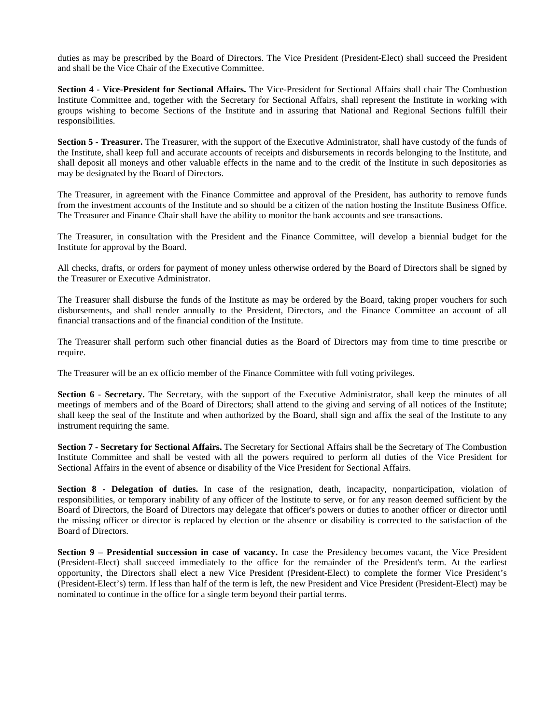duties as may be prescribed by the Board of Directors. The Vice President (President-Elect) shall succeed the President and shall be the Vice Chair of the Executive Committee.

**Section 4 - Vice-President for Sectional Affairs.** The Vice-President for Sectional Affairs shall chair The Combustion Institute Committee and, together with the Secretary for Sectional Affairs, shall represent the Institute in working with groups wishing to become Sections of the Institute and in assuring that National and Regional Sections fulfill their responsibilities.

**Section 5 - Treasurer.** The Treasurer, with the support of the Executive Administrator, shall have custody of the funds of the Institute, shall keep full and accurate accounts of receipts and disbursements in records belonging to the Institute, and shall deposit all moneys and other valuable effects in the name and to the credit of the Institute in such depositories as may be designated by the Board of Directors.

The Treasurer, in agreement with the Finance Committee and approval of the President, has authority to remove funds from the investment accounts of the Institute and so should be a citizen of the nation hosting the Institute Business Office. The Treasurer and Finance Chair shall have the ability to monitor the bank accounts and see transactions.

The Treasurer, in consultation with the President and the Finance Committee, will develop a biennial budget for the Institute for approval by the Board.

All checks, drafts, or orders for payment of money unless otherwise ordered by the Board of Directors shall be signed by the Treasurer or Executive Administrator.

The Treasurer shall disburse the funds of the Institute as may be ordered by the Board, taking proper vouchers for such disbursements, and shall render annually to the President, Directors, and the Finance Committee an account of all financial transactions and of the financial condition of the Institute.

The Treasurer shall perform such other financial duties as the Board of Directors may from time to time prescribe or require.

The Treasurer will be an ex officio member of the Finance Committee with full voting privileges.

**Section 6 - Secretary.** The Secretary, with the support of the Executive Administrator, shall keep the minutes of all meetings of members and of the Board of Directors; shall attend to the giving and serving of all notices of the Institute; shall keep the seal of the Institute and when authorized by the Board, shall sign and affix the seal of the Institute to any instrument requiring the same.

**Section 7 - Secretary for Sectional Affairs.** The Secretary for Sectional Affairs shall be the Secretary of The Combustion Institute Committee and shall be vested with all the powers required to perform all duties of the Vice President for Sectional Affairs in the event of absence or disability of the Vice President for Sectional Affairs.

**Section 8 - Delegation of duties.** In case of the resignation, death, incapacity, nonparticipation, violation of responsibilities, or temporary inability of any officer of the Institute to serve, or for any reason deemed sufficient by the Board of Directors, the Board of Directors may delegate that officer's powers or duties to another officer or director until the missing officer or director is replaced by election or the absence or disability is corrected to the satisfaction of the Board of Directors.

**Section 9 – Presidential succession in case of vacancy.** In case the Presidency becomes vacant, the Vice President (President-Elect) shall succeed immediately to the office for the remainder of the President's term. At the earliest opportunity, the Directors shall elect a new Vice President (President-Elect) to complete the former Vice President's (President-Elect's) term. If less than half of the term is left, the new President and Vice President (President-Elect) may be nominated to continue in the office for a single term beyond their partial terms.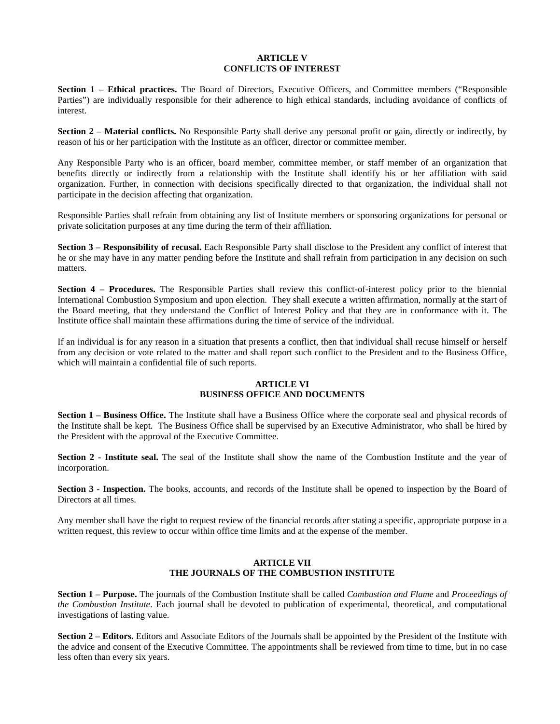#### **ARTICLE V CONFLICTS OF INTEREST**

**Section 1 – Ethical practices.** The Board of Directors, Executive Officers, and Committee members ("Responsible Parties") are individually responsible for their adherence to high ethical standards, including avoidance of conflicts of interest.

**Section 2 – Material conflicts.** No Responsible Party shall derive any personal profit or gain, directly or indirectly, by reason of his or her participation with the Institute as an officer, director or committee member.

Any Responsible Party who is an officer, board member, committee member, or staff member of an organization that benefits directly or indirectly from a relationship with the Institute shall identify his or her affiliation with said organization. Further, in connection with decisions specifically directed to that organization, the individual shall not participate in the decision affecting that organization.

Responsible Parties shall refrain from obtaining any list of Institute members or sponsoring organizations for personal or private solicitation purposes at any time during the term of their affiliation.

**Section 3 – Responsibility of recusal.** Each Responsible Party shall disclose to the President any conflict of interest that he or she may have in any matter pending before the Institute and shall refrain from participation in any decision on such matters.

**Section 4 – Procedures.** The Responsible Parties shall review this conflict-of-interest policy prior to the biennial International Combustion Symposium and upon election. They shall execute a written affirmation, normally at the start of the Board meeting, that they understand the Conflict of Interest Policy and that they are in conformance with it. The Institute office shall maintain these affirmations during the time of service of the individual.

If an individual is for any reason in a situation that presents a conflict, then that individual shall recuse himself or herself from any decision or vote related to the matter and shall report such conflict to the President and to the Business Office, which will maintain a confidential file of such reports.

#### **ARTICLE VI BUSINESS OFFICE AND DOCUMENTS**

**Section 1 – Business Office.** The Institute shall have a Business Office where the corporate seal and physical records of the Institute shall be kept. The Business Office shall be supervised by an Executive Administrator, who shall be hired by the President with the approval of the Executive Committee.

**Section 2 - Institute seal.** The seal of the Institute shall show the name of the Combustion Institute and the year of incorporation.

**Section 3 - Inspection.** The books, accounts, and records of the Institute shall be opened to inspection by the Board of Directors at all times.

Any member shall have the right to request review of the financial records after stating a specific, appropriate purpose in a written request, this review to occur within office time limits and at the expense of the member.

## **ARTICLE VII THE JOURNALS OF THE COMBUSTION INSTITUTE**

**Section 1 – Purpose.** The journals of the Combustion Institute shall be called *Combustion and Flame* and *Proceedings of the Combustion Institute*. Each journal shall be devoted to publication of experimental, theoretical, and computational investigations of lasting value.

**Section 2 – Editors.** Editors and Associate Editors of the Journals shall be appointed by the President of the Institute with the advice and consent of the Executive Committee. The appointments shall be reviewed from time to time, but in no case less often than every six years.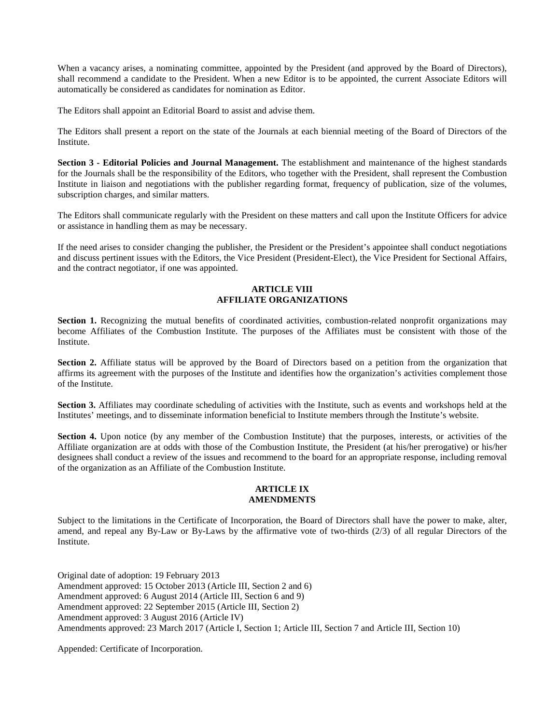When a vacancy arises, a nominating committee, appointed by the President (and approved by the Board of Directors), shall recommend a candidate to the President. When a new Editor is to be appointed, the current Associate Editors will automatically be considered as candidates for nomination as Editor.

The Editors shall appoint an Editorial Board to assist and advise them.

The Editors shall present a report on the state of the Journals at each biennial meeting of the Board of Directors of the Institute.

**Section 3 - Editorial Policies and Journal Management.** The establishment and maintenance of the highest standards for the Journals shall be the responsibility of the Editors, who together with the President, shall represent the Combustion Institute in liaison and negotiations with the publisher regarding format, frequency of publication, size of the volumes, subscription charges, and similar matters.

The Editors shall communicate regularly with the President on these matters and call upon the Institute Officers for advice or assistance in handling them as may be necessary.

If the need arises to consider changing the publisher, the President or the President's appointee shall conduct negotiations and discuss pertinent issues with the Editors, the Vice President (President-Elect), the Vice President for Sectional Affairs, and the contract negotiator, if one was appointed.

#### **ARTICLE VIII AFFILIATE ORGANIZATIONS**

**Section 1.** Recognizing the mutual benefits of coordinated activities, combustion-related nonprofit organizations may become Affiliates of the Combustion Institute. The purposes of the Affiliates must be consistent with those of the Institute.

**Section 2.** Affiliate status will be approved by the Board of Directors based on a petition from the organization that affirms its agreement with the purposes of the Institute and identifies how the organization's activities complement those of the Institute.

**Section 3.** Affiliates may coordinate scheduling of activities with the Institute, such as events and workshops held at the Institutes' meetings, and to disseminate information beneficial to Institute members through the Institute's website.

**Section 4.** Upon notice (by any member of the Combustion Institute) that the purposes, interests, or activities of the Affiliate organization are at odds with those of the Combustion Institute, the President (at his/her prerogative) or his/her designees shall conduct a review of the issues and recommend to the board for an appropriate response, including removal of the organization as an Affiliate of the Combustion Institute.

#### **ARTICLE IX AMENDMENTS**

Subject to the limitations in the Certificate of Incorporation, the Board of Directors shall have the power to make, alter, amend, and repeal any By-Law or By-Laws by the affirmative vote of two-thirds (2/3) of all regular Directors of the Institute.

Original date of adoption: 19 February 2013 Amendment approved: 15 October 2013 (Article III, Section 2 and 6) Amendment approved: 6 August 2014 (Article III, Section 6 and 9) Amendment approved: 22 September 2015 (Article III, Section 2) Amendment approved: 3 August 2016 (Article IV) Amendments approved: 23 March 2017 (Article I, Section 1; Article III, Section 7 and Article III, Section 10)

Appended: Certificate of Incorporation.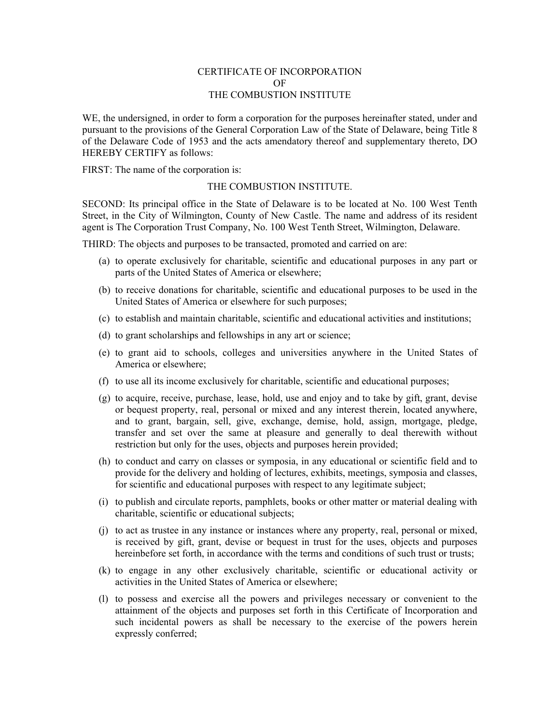## CERTIFICATE OF INCORPORATION OF THE COMBUSTION INSTITUTE

WE, the undersigned, in order to form a corporation for the purposes hereinafter stated, under and pursuant to the provisions of the General Corporation Law of the State of Delaware, being Title 8 of the Delaware Code of 1953 and the acts amendatory thereof and supplementary thereto, DO HEREBY CERTIFY as follows:

FIRST: The name of the corporation is:

## THE COMBUSTION INSTITUTE.

SECOND: Its principal office in the State of Delaware is to be located at No. 100 West Tenth Street, in the City of Wilmington, County of New Castle. The name and address of its resident agent is The Corporation Trust Company, No. 100 West Tenth Street, Wilmington, Delaware.

THIRD: The objects and purposes to be transacted, promoted and carried on are:

- (a) to operate exclusively for charitable, scientific and educational purposes in any part or parts of the United States of America or elsewhere;
- (b) to receive donations for charitable, scientific and educational purposes to be used in the United States of America or elsewhere for such purposes;
- (c) to establish and maintain charitable, scientific and educational activities and institutions;
- (d) to grant scholarships and fellowships in any art or science;
- (e) to grant aid to schools, colleges and universities anywhere in the United States of America or elsewhere;
- (f) to use all its income exclusively for charitable, scientific and educational purposes;
- (g) to acquire, receive, purchase, lease, hold, use and enjoy and to take by gift, grant, devise or bequest property, real, personal or mixed and any interest therein, located anywhere, and to grant, bargain, sell, give, exchange, demise, hold, assign, mortgage, pledge, transfer and set over the same at pleasure and generally to deal therewith without restriction but only for the uses, objects and purposes herein provided;
- (h) to conduct and carry on classes or symposia, in any educational or scientific field and to provide for the delivery and holding of lectures, exhibits, meetings, symposia and classes, for scientific and educational purposes with respect to any legitimate subject;
- (i) to publish and circulate reports, pamphlets, books or other matter or material dealing with charitable, scientific or educational subjects;
- (j) to act as trustee in any instance or instances where any property, real, personal or mixed, is received by gift, grant, devise or bequest in trust for the uses, objects and purposes hereinbefore set forth, in accordance with the terms and conditions of such trust or trusts;
- (k) to engage in any other exclusively charitable, scientific or educational activity or activities in the United States of America or elsewhere;
- (l) to possess and exercise all the powers and privileges necessary or convenient to the attainment of the objects and purposes set forth in this Certificate of Incorporation and such incidental powers as shall be necessary to the exercise of the powers herein expressly conferred;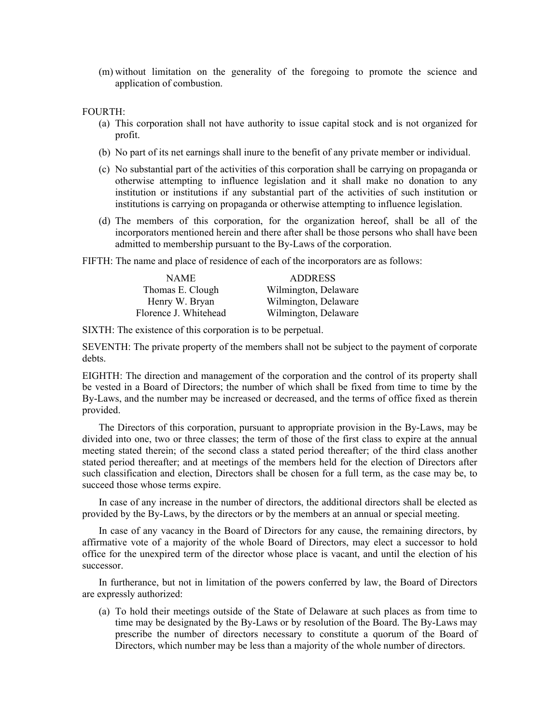(m) without limitation on the generality of the foregoing to promote the science and application of combustion.

### FOURTH:

- (a) This corporation shall not have authority to issue capital stock and is not organized for profit.
- (b) No part of its net earnings shall inure to the benefit of any private member or individual.
- (c) No substantial part of the activities of this corporation shall be carrying on propaganda or otherwise attempting to influence legislation and it shall make no donation to any institution or institutions if any substantial part of the activities of such institution or institutions is carrying on propaganda or otherwise attempting to influence legislation.
- (d) The members of this corporation, for the organization hereof, shall be all of the incorporators mentioned herein and there after shall be those persons who shall have been admitted to membership pursuant to the By-Laws of the corporation.
- FIFTH: The name and place of residence of each of the incorporators are as follows:

| <b>NAME</b>           | <b>ADDRESS</b>       |
|-----------------------|----------------------|
| Thomas E. Clough      | Wilmington, Delaware |
| Henry W. Bryan        | Wilmington, Delaware |
| Florence J. Whitehead | Wilmington, Delaware |

SIXTH: The existence of this corporation is to be perpetual.

SEVENTH: The private property of the members shall not be subject to the payment of corporate debts.

EIGHTH: The direction and management of the corporation and the control of its property shall be vested in a Board of Directors; the number of which shall be fixed from time to time by the By-Laws, and the number may be increased or decreased, and the terms of office fixed as therein provided.

The Directors of this corporation, pursuant to appropriate provision in the By-Laws, may be divided into one, two or three classes; the term of those of the first class to expire at the annual meeting stated therein; of the second class a stated period thereafter; of the third class another stated period thereafter; and at meetings of the members held for the election of Directors after such classification and election, Directors shall be chosen for a full term, as the case may be, to succeed those whose terms expire.

In case of any increase in the number of directors, the additional directors shall be elected as provided by the By-Laws, by the directors or by the members at an annual or special meeting.

In case of any vacancy in the Board of Directors for any cause, the remaining directors, by affirmative vote of a majority of the whole Board of Directors, may elect a successor to hold office for the unexpired term of the director whose place is vacant, and until the election of his successor.

In furtherance, but not in limitation of the powers conferred by law, the Board of Directors are expressly authorized:

(a) To hold their meetings outside of the State of Delaware at such places as from time to time may be designated by the By-Laws or by resolution of the Board. The By-Laws may prescribe the number of directors necessary to constitute a quorum of the Board of Directors, which number may be less than a majority of the whole number of directors.